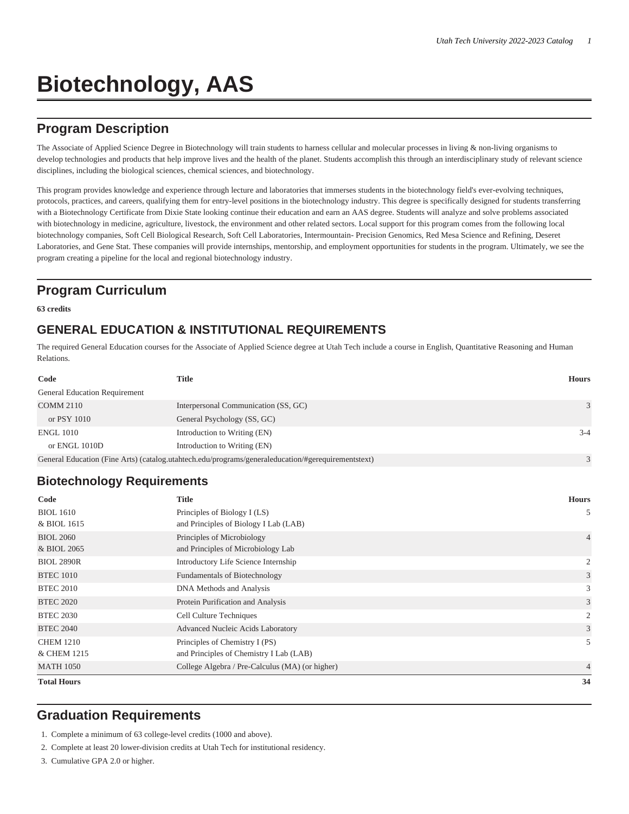# **Biotechnology, AAS**

## **Program Description**

The Associate of Applied Science Degree in Biotechnology will train students to harness cellular and molecular processes in living & non-living organisms to develop technologies and products that help improve lives and the health of the planet. Students accomplish this through an interdisciplinary study of relevant science disciplines, including the biological sciences, chemical sciences, and biotechnology.

This program provides knowledge and experience through lecture and laboratories that immerses students in the biotechnology field's ever-evolving techniques, protocols, practices, and careers, qualifying them for entry-level positions in the biotechnology industry. This degree is specifically designed for students transferring with a Biotechnology Certificate from Dixie State looking continue their education and earn an AAS degree. Students will analyze and solve problems associated with biotechnology in medicine, agriculture, livestock, the environment and other related sectors. Local support for this program comes from the following local biotechnology companies, Soft Cell Biological Research, Soft Cell Laboratories, Intermountain- Precision Genomics, Red Mesa Science and Refining, Deseret Laboratories, and Gene Stat. These companies will provide internships, mentorship, and employment opportunities for students in the program. Ultimately, we see the program creating a pipeline for the local and regional biotechnology industry.

## **Program Curriculum**

**63 credits**

#### **GENERAL EDUCATION & INSTITUTIONAL REQUIREMENTS**

The required General Education courses for the Associate of Applied Science degree at Utah Tech include a course in English, Quantitative Reasoning and Human Relations.

| Code                          | <b>Title</b>                                                                                       | <b>Hours</b> |
|-------------------------------|----------------------------------------------------------------------------------------------------|--------------|
| General Education Requirement |                                                                                                    |              |
| <b>COMM 2110</b>              | Interpersonal Communication (SS, GC)                                                               | 3            |
| or PSY 1010                   | General Psychology (SS, GC)                                                                        |              |
| <b>ENGL 1010</b>              | Introduction to Writing (EN)                                                                       | $3 - 4$      |
| or ENGL 1010D                 | Introduction to Writing (EN)                                                                       |              |
|                               | General Education (Fine Arts) (catalog.utahtech.edu/programs/generaleducation/#gerequirementstext) | 3            |

#### **Biotechnology Requirements**

| Code               | <b>Title</b>                                    | <b>Hours</b>   |
|--------------------|-------------------------------------------------|----------------|
| <b>BIOL</b> 1610   | Principles of Biology I (LS)                    | 5              |
| & BIOL 1615        | and Principles of Biology I Lab (LAB)           |                |
| <b>BIOL 2060</b>   | Principles of Microbiology                      | $\overline{4}$ |
| & BIOL 2065        | and Principles of Microbiology Lab              |                |
| <b>BIOL 2890R</b>  | Introductory Life Science Internship            | 2              |
| <b>BTEC 1010</b>   | Fundamentals of Biotechnology                   | 3              |
| <b>BTEC 2010</b>   | DNA Methods and Analysis                        | 3              |
| <b>BTEC 2020</b>   | Protein Purification and Analysis               | 3              |
| <b>BTEC 2030</b>   | Cell Culture Techniques                         | 2              |
| <b>BTEC 2040</b>   | Advanced Nucleic Acids Laboratory               | 3              |
| <b>CHEM 1210</b>   | Principles of Chemistry I (PS)                  | 5              |
| & CHEM 1215        | and Principles of Chemistry I Lab (LAB)         |                |
| <b>MATH 1050</b>   | College Algebra / Pre-Calculus (MA) (or higher) | $\overline{4}$ |
| <b>Total Hours</b> |                                                 | 34             |

#### **Graduation Requirements**

1. Complete a minimum of 63 college-level credits (1000 and above).

2. Complete at least 20 lower-division credits at Utah Tech for institutional residency.

3. Cumulative GPA 2.0 or higher.